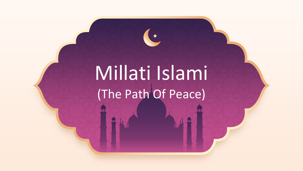# Millati Islami (The Path Of Peace)

 $\star$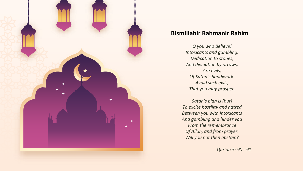

#### **Bismillahir Rahmanir Rahim**

*O you who Believe! Intoxicants and gambling. Dedication to stones, And divination by arrows, Are evils, Of Satan's handiwork: Avoid such evils, That you may prosper.*

*Satan's plan is (but) To excite hostility and hatred Between you with intoxicants And gambling and hinder you From the remembrance Of Allah, and from prayer: Will you not then abstain?*

*Qur'an 5: 90 - 91*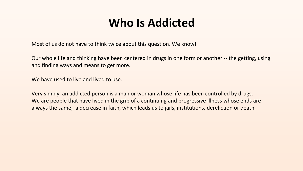### **Who Is Addicted**

Most of us do not have to think twice about this question. We know!

Our whole life and thinking have been centered in drugs in one form or another -- the getting, using and finding ways and means to get more.

We have used to live and lived to use.

Very simply, an addicted person is a man or woman whose life has been controlled by drugs. We are people that have lived in the grip of a continuing and progressive illness whose ends are always the same; a decrease in faith, which leads us to jails, institutions, dereliction or death.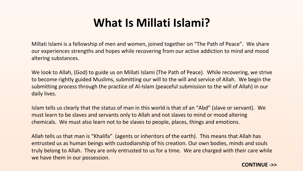### **What Is Millati Islami?**

Millati Islami is a fellowship of men and women, joined together on "The Path of Peace". We share our experiences strengths and hopes while recovering from our active addiction to mind and mood altering substances.

We look to Allah, (God) to guide us on Millati Islami (The Path of Peace). While recovering, we strive to become rightly guided Muslims, submitting our will to the will and service of Allah. We begin the submitting process through the practice of Al-Islam (peaceful submission to the will of Allah) in our daily lives.

Islam tells us clearly that the status of man in this world is that of an "Abd" (slave or servant). We must learn to be slaves and servants only to Allah and not slaves to mind or mood altering chemicals. We must also learn not to be slaves to people, places, things and emotions.

Allah tells us that man is "Khalifa" (agents or inheritors of the earth). This means that Allah has entrusted us as human beings with custodianship of his creation. Our own bodies, minds and souls truly belong to Allah. They are only entrusted to us for a time. We are charged with their care while we have them in our possession.

#### **CONTINUE ->>**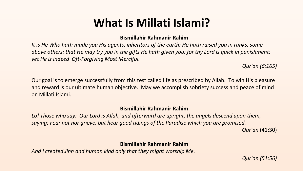### **What Is Millati Islami?**

#### **Bismillahir Rahmanir Rahim**

*It is He Who hath made you His agents, inheritors of the earth: He hath raised you in ranks, some above others: that He may try you in the gifts He hath given you: for thy Lord is quick in punishment: yet He is indeed Oft-Forgiving Most Merciful.*

*Qur'an (6:165)*

Our goal is to emerge successfully from this test called life as prescribed by Allah. To win His pleasure and reward is our ultimate human objective. May we accomplish sobriety success and peace of mind on Millati Islami.

#### **Bismillahir Rahmanir Rahim**

*Lo! Those who say: Our Lord is Allah, and afterward are upright, the angels descend upon them, saying: Fear not nor grieve, but hear good tidings of the Paradise which you are promised.*

*Qur'an* (41:30)

#### **Bismillahir Rahmanir Rahim**

*And I created Jinn and human kind only that they might worship Me.*

*Qur'an (51:56)*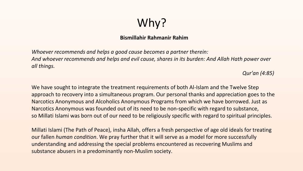## Why?

#### **Bismillahir Rahmanir Rahim**

*Whoever recommends and helps a good cause becomes a partner therein: And whoever recommends and helps and evil cause, shares in its burden: And Allah Hath power over all things.*

*Qur'an (4:85)*

We have sought to integrate the treatment requirements of both Al-Islam and the Twelve Step approach to recovery into a simultaneous program. Our personal thanks and appreciation goes to the Narcotics Anonymous and Alcoholics Anonymous Programs from which we have borrowed. Just as Narcotics Anonymous was founded out of its need to be non-specific with regard to substance, so Millati Islami was born out of our need to be religiously specific with regard to spiritual principles.

Millati Islami (The Path of Peace), insha Allah, offers a fresh perspective of age old ideals for treating our fallen *human condition*. We pray further that it will serve as a model for more successfully understanding and addressing the special problems encountered as recovering Muslims and substance abusers in a predominantly non-Muslim society.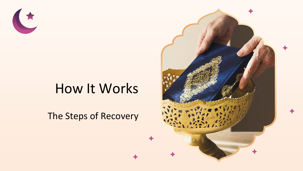

# How It Works

The Steps of Recovery

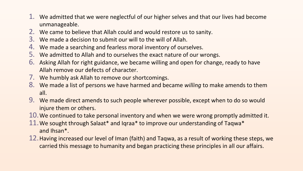- 1. We admitted that we were neglectful of our higher selves and that our lives had become unmanageable.
- 2. We came to believe that Allah could and would restore us to sanity.
- 3. We made a decision to submit our will to the will of Allah.
- 4. We made a searching and fearless moral inventory of ourselves.
- 5. We admitted to Allah and to ourselves the exact nature of our wrongs.
- 6. Asking Allah for right guidance, we became willing and open for change, ready to have Allah remove our defects of character.
- 7. We humbly ask Allah to remove our shortcomings.
- 8. We made a list of persons we have harmed and became *willing* to make amends to them all.
- 9. We made direct amends to such people wherever possible, except when to do so would injure them or others.
- 10.We continued to take personal inventory and when we were wrong promptly admitted it.
- 11.We sought through Salaat\* and Iqraa\* to improve our understanding of Taqwa\* and Ihsan\*.
- 12.Having increased our level of Iman (faith) and Taqwa, as a result of working these steps, we carried this message to humanity and began practicing these principles in all our affairs.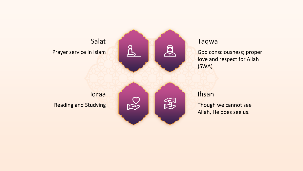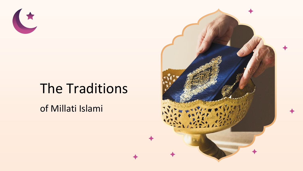

# The Traditions

of Millati Islami

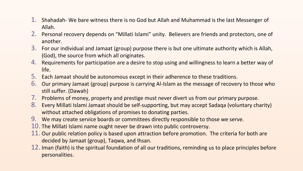- 1. Shahadah- We bare witness there is no God but Allah and Muhammad is the last Messenger of Allah.
- 2. Personal recovery depends on "Millati Islami" unity. Believers are friends and protectors, one of another.
- 3. For our individual and Jamaat (group) purpose there is but one ultimate authority which is Allah, (God), the source from which all originates.
- 4. Requirements for participation are a desire to stop using and willingness to learn a better way of life.
- 5. Each Jamaat should be autonomous except in their adherence to these traditions.
- 6. Our primary Jamaat (group) purpose is carrying Al-Islam as the message of recovery to those who still suffer. (Dawah)
- 7. Problems of money, property and prestige must never divert us from our primary purpose.
- 8. Every Millati Islami Jamaat should be self-supporting, but may accept Sadaqa (voluntary charity) without attached obligations of promises to donating parties.
- 9. We may create service boards or committees directly responsible to those we serve.
- 10. The Millati Islami name ought never be drawn into public controversy.
- 11. Our public relation policy is based upon attraction before promotion. The criteria for both are decided by Jamaat (group), Taqwa, and Ihsan.
- 12. Iman (faith) is the spiritual foundation of all our traditions, reminding us to place principles before personalities.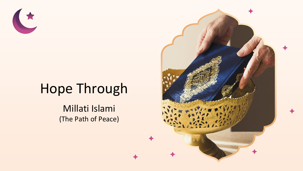

# Hope Through

Millati Islami (The Path of Peace)

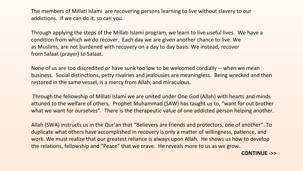The members of Millati Islami are recovering persons learning to live without slavery to our addictions. If we can do it, so can you.

Through applying the steps of the Millati Islami program, we learn to live useful lives. We have a condition from which we do recover. Each day we are given another chance to live. We as Muslims, are not burdened with recovery on a day to day basis. We instead, recover from Salaat (prayer) to Salaat.

None of us are too discredited or have sunk too low to be welcomed cordially -- when we mean business. Social distinctions, petty rivalries and jealousies are meaningless. Being wrecked and then restored in the same vessel, is a mercy from Allah, and miraculous.

Through the fellowship of Millati Islami we are united under One God (Allah) with hearts and minds attuned to the welfare of others. Prophet Muhammad (SAW) has taught us to, "want for out brother what we want for ourselves". There is the therapeutic value of one addicted person helping another.

Allah (SWA) instructs us in the Qur'an that "Believers are friends and protectors, one of another". To duplicate what others have accomplished in recovery is only a matter of willingness, patience, and work. We must realize that our greatest reliance is always upon Allah. He shows us how to develop the relations, fellowship and "Peace" that we crave. He reveals more to us as we grow.

**CONTINUE ->>**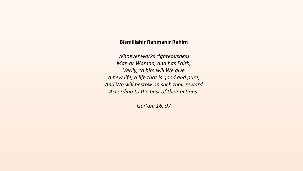#### **Bismillahir Rahmanir Rahim**

*Whoever works righteousness Man or Woman, and has Faith, Verily, to him will We give A new life, a life that is good and pure, And We will bestow on such their reward According to the best of their actions*

*Qur'an: 16: 97*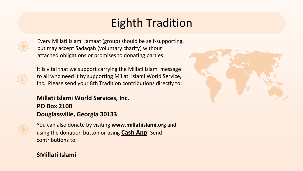## Eighth Tradition

Every Millati Islami Jamaat (group) should be self-supporting, but may accept Sadaqah (voluntary charity) without attached obligations or promises to donating parties.



It is vital that we support carrying the Millati Islami message to all who need it by supporting Millati Islami World Service, Inc. Please send your 8th Tradition contributions directly to:

#### **Millati Islami World Services, Inc. PO Box 2100 Douglassville, Georgia 30133**



You can also donate by visiting **www.millatiislami.org** and using the donation button or using **Cash App**. Send contributions to:

#### **\$Millati Islami**

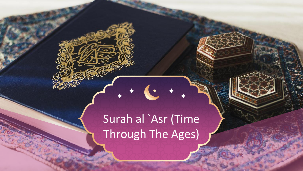# Surah al `Asr (Time Through The Ages)